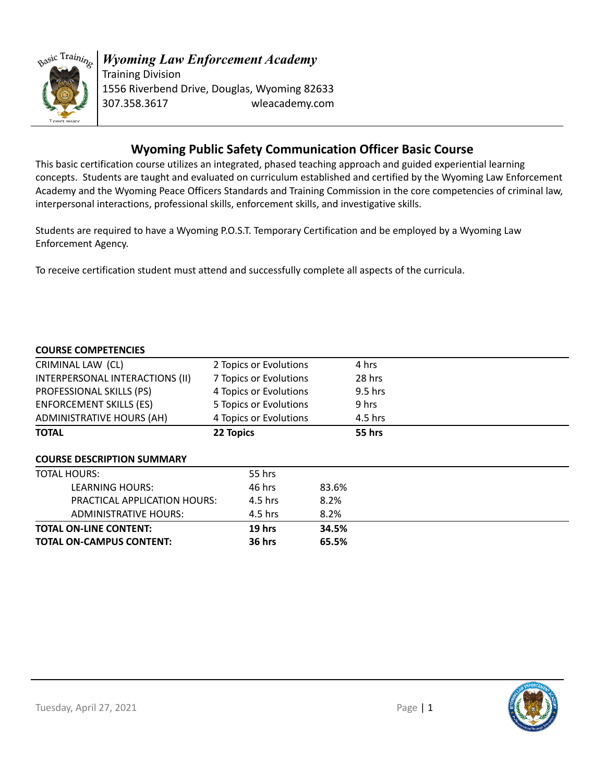

# **Wyoming Public Safety Communication Officer Basic Course**

This basic certification course utilizes an integrated, phased teaching approach and guided experiential learning concepts. Students are taught and evaluated on curriculum established and certified by the Wyoming Law Enforcement Academy and the Wyoming Peace Officers Standards and Training Commission in the core competencies of criminal law, interpersonal interactions, professional skills, enforcement skills, and investigative skills.

Students are required to have a Wyoming P.O.S.T. Temporary Certification and be employed by a Wyoming Law Enforcement Agency.

To receive certification student must attend and successfully complete all aspects of the curricula.

#### **COURSE COMPETENCIES**

| <b>TOTAL ON-CAMPUS CONTENT:</b>   |           | <b>36 hrs</b>          | 65.5% |               |  |  |
|-----------------------------------|-----------|------------------------|-------|---------------|--|--|
| <b>TOTAL ON-LINE CONTENT:</b>     |           | $19$ hrs               | 34.5% |               |  |  |
| <b>ADMINISTRATIVE HOURS:</b>      |           | 4.5 hrs                | 8.2%  |               |  |  |
| PRACTICAL APPLICATION HOURS:      |           | $4.5$ hrs              | 8.2%  |               |  |  |
| <b>LEARNING HOURS:</b>            |           | 46 hrs                 | 83.6% |               |  |  |
| <b>TOTAL HOURS:</b>               |           | 55 hrs                 |       |               |  |  |
| <b>COURSE DESCRIPTION SUMMARY</b> |           |                        |       |               |  |  |
| <b>TOTAL</b>                      | 22 Topics |                        |       | <b>55 hrs</b> |  |  |
| <b>ADMINISTRATIVE HOURS (AH)</b>  |           | 4 Topics or Evolutions |       | 4.5 hrs       |  |  |
| <b>ENFORCEMENT SKILLS (ES)</b>    |           | 5 Topics or Evolutions |       | 9 hrs         |  |  |
| PROFESSIONAL SKILLS (PS)          |           | 4 Topics or Evolutions |       | $9.5$ hrs     |  |  |
| INTERPERSONAL INTERACTIONS (II)   |           | 7 Topics or Evolutions |       | 28 hrs        |  |  |
| CRIMINAL LAW (CL)                 |           | 2 Topics or Evolutions |       | 4 hrs         |  |  |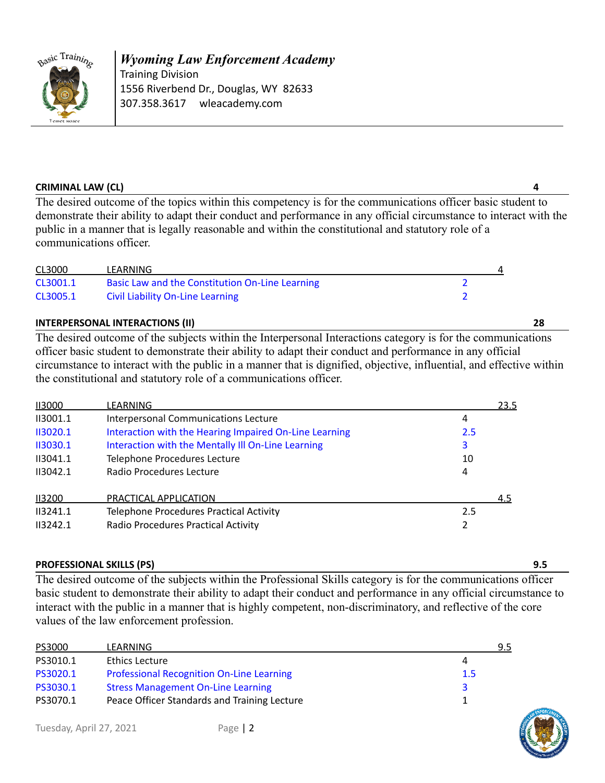

*Wyoming Law Enforcement Academy* Training Division 1556 Riverbend Dr., Douglas, WY 82633 307.358.3617 wleacademy.com

#### **CRIMINAL LAW (CL) 4**

The desired outcome of the topics within this competency is for the communications officer basic student to demonstrate their ability to adapt their conduct and performance in any official circumstance to interact with the public in a manner that is legally reasonable and within the constitutional and statutory role of a communications officer.

| CL3000   | LEARNING                                        |  |
|----------|-------------------------------------------------|--|
| CL3001.1 | Basic Law and the Constitution On-Line Learning |  |
| CL3005.1 | <b>Civil Liability On-Line Learning</b>         |  |

## **INTERPERSONAL INTERACTIONS (II) 28**

The desired outcome of the subjects within the Interpersonal Interactions category is for the communications officer basic student to demonstrate their ability to adapt their conduct and performance in any official circumstance to interact with the public in a manner that is dignified, objective, influential, and effective within the constitutional and statutory role of a communications officer.

| 113000   | LEARNING                                               |     | 23.5 |
|----------|--------------------------------------------------------|-----|------|
| II3001.1 | Interpersonal Communications Lecture                   | 4   |      |
| 113020.1 | Interaction with the Hearing Impaired On-Line Learning | 2.5 |      |
| 113030.1 | Interaction with the Mentally III On-Line Learning     | 3   |      |
| II3041.1 | Telephone Procedures Lecture                           | 10  |      |
| II3042.1 | Radio Procedures Lecture                               | 4   |      |
| 113200   | PRACTICAL APPLICATION                                  |     | 4.5  |
| II3241.1 | <b>Telephone Procedures Practical Activity</b>         | 2.5 |      |
| II3242.1 | Radio Procedures Practical Activity                    | 2   |      |

#### **PROFESSIONAL SKILLS (PS) 9.5**

The desired outcome of the subjects within the Professional Skills category is for the communications officer basic student to demonstrate their ability to adapt their conduct and performance in any official circumstance to interact with the public in a manner that is highly competent, non-discriminatory, and reflective of the core values of the law enforcement profession.

| PS3000   | LEARNING                                         | 9.5 |
|----------|--------------------------------------------------|-----|
| PS3010.1 | Ethics Lecture                                   | 4   |
| PS3020.1 | <b>Professional Recognition On-Line Learning</b> | 1.5 |
| PS3030.1 | <b>Stress Management On-Line Learning</b>        |     |
| PS3070.1 | Peace Officer Standards and Training Lecture     |     |